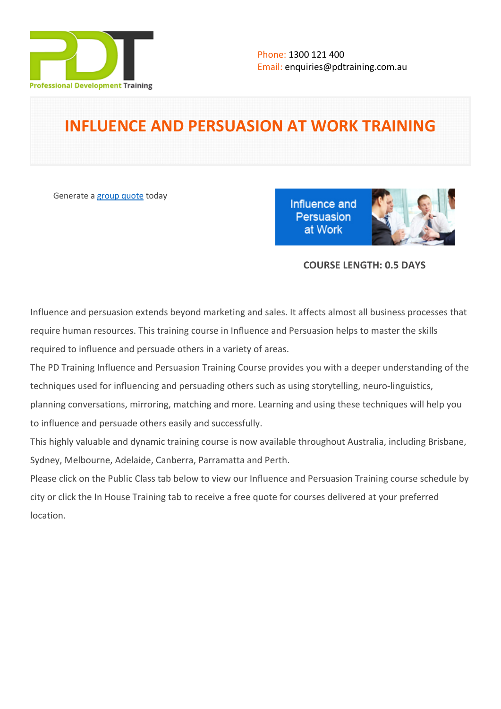

# **INFLUENCE AND PERSUASION AT WORK TRAINING**

Generate a [group quote](https://pdtraining.com.au/inhouse-training-quote?cse=PDT9068VEL) today

Influence and Persuasion at Work



## **COURSE LENGTH: 0.5 DAYS**

Influence and persuasion extends beyond marketing and sales. It affects almost all business processes that require human resources. This training course in Influence and Persuasion helps to master the skills required to influence and persuade others in a variety of areas.

The PD Training Influence and Persuasion Training Course provides you with a deeper understanding of the techniques used for influencing and persuading others such as using storytelling, neuro-linguistics, planning conversations, mirroring, matching and more. Learning and using these techniques will help you to influence and persuade others easily and successfully.

This highly valuable and dynamic training course is now available throughout Australia, including Brisbane, Sydney, Melbourne, Adelaide, Canberra, Parramatta and Perth.

Please click on the Public Class tab below to view our Influence and Persuasion Training course schedule by city or click the In House Training tab to receive a free quote for courses delivered at your preferred location.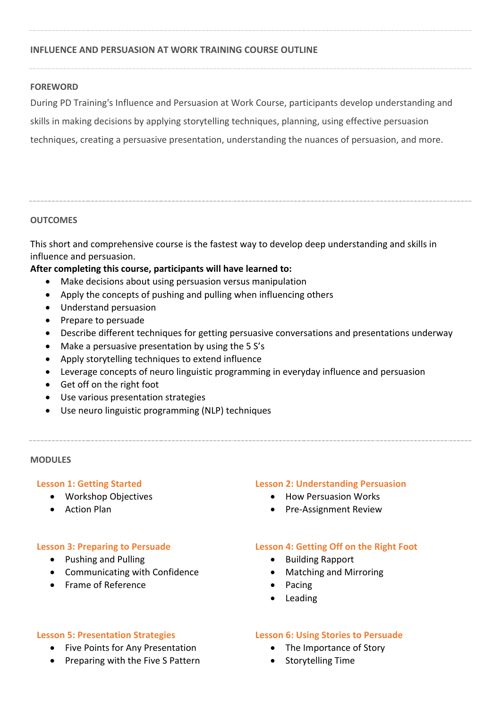## **INFLUENCE AND PERSUASION AT WORK TRAINING COURSE OUTLINE**

## **FOREWORD**

During PD Training's Influence and Persuasion at Work Course, participants develop understanding and skills in making decisions by applying storytelling techniques, planning, using effective persuasion techniques, creating a persuasive presentation, understanding the nuances of persuasion, and more.

## **OUTCOMES**

This short and comprehensive course is the fastest way to develop deep understanding and skills in influence and persuasion.

## **After completing this course, participants will have learned to:**

- Make decisions about using persuasion versus manipulation
- Apply the concepts of pushing and pulling when influencing others
- Understand persuasion
- Prepare to persuade
- Describe different techniques for getting persuasive conversations and presentations underway
- Make a persuasive presentation by using the 5 S's
- Apply storytelling techniques to extend influence
- Leverage concepts of neuro linguistic programming in everyday influence and persuasion
- Get off on the right foot
- Use various presentation strategies
- Use neuro linguistic programming (NLP) techniques

#### **MODULES**

## **Lesson 1: Getting Started**

- Workshop Objectives
- Action Plan

## **Lesson 3: Preparing to Persuade**

- Pushing and Pulling
- Communicating with Confidence
- Frame of Reference

## **Lesson 2: Understanding Persuasion**

- How Persuasion Works
- Pre-Assignment Review

## **Lesson 4: Getting Off on the Right Foot**

- Building Rapport
	- Matching and Mirroring
- Pacing
- Leading

#### **Lesson 5: Presentation Strategies**

- Five Points for Any Presentation
- Preparing with the Five S Pattern

#### **Lesson 6: Using Stories to Persuade**

- The Importance of Story
- Storytelling Time